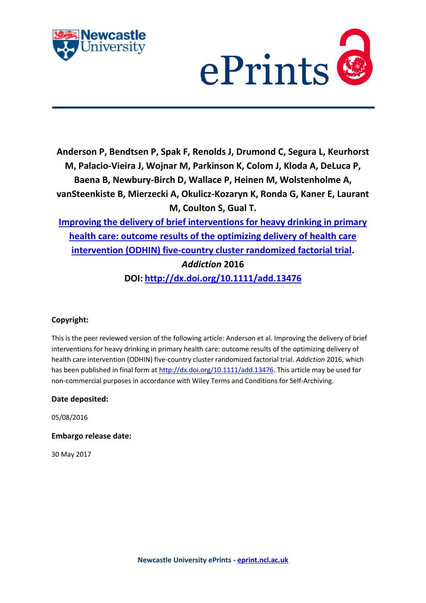



**Anderson P, Bendtsen P, Spak F, Renolds J, Drumond C, Segura L, Keurhorst M, Palacio-Vieira J, Wojnar M, Parkinson K, Colom J, Kloda A, DeLuca P, Baena B, Newbury-Birch D, Wallace P, Heinen M, Wolstenholme A, vanSteenkiste B, Mierzecki A, Okulicz-Kozaryn K, Ronda G, Kaner E, Laurant M, Coulton S, Gual T.** 

**[Improving the delivery of brief interventions for heavy drinking in primary](https://myimpact.ncl.ac.uk/ViewPublication.aspx?id=226999)  [health care: outcome results of the optimizing delivery of health care](https://myimpact.ncl.ac.uk/ViewPublication.aspx?id=226999)  [intervention \(ODHIN\) five-country cluster randomized factorial trial.](https://myimpact.ncl.ac.uk/ViewPublication.aspx?id=226999)**  *Addiction* **2016 DOI: <http://dx.doi.org/10.1111/add.13476>**

#### **Copyright:**

This is the peer reviewed version of the following article: Anderson et al. [Improving the delivery of brief](https://myimpact.ncl.ac.uk/ViewPublication.aspx?id=226999)  [interventions for heavy drinking in primary health care: outcome results of the optimizing delivery of](https://myimpact.ncl.ac.uk/ViewPublication.aspx?id=226999)  [health care intervention \(ODHIN\) five-country cluster randomized factorial trial.](https://myimpact.ncl.ac.uk/ViewPublication.aspx?id=226999) *Addiction* 2016, which has been published in final form a[t http://dx.doi.org/10.1111/add.13476.](http://dx.doi.org/10.1111/add.13476) This article may be used for non-commercial purposes in accordance with Wiley Terms and Conditions for Self-Archiving.

#### **Date deposited:**

05/08/2016

#### **Embargo release date:**

30 May 2017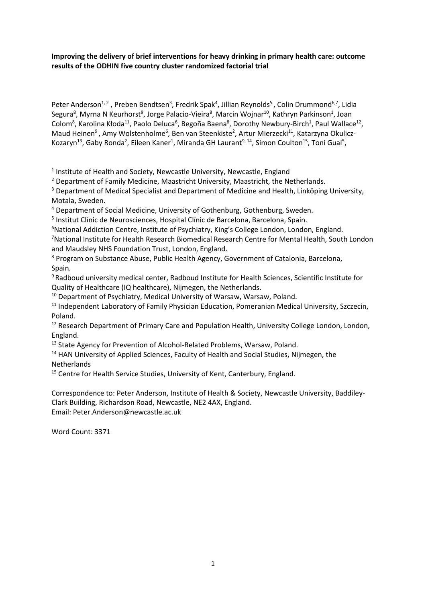#### **Improving the delivery of brief interventions for heavy drinking in primary health care: outcome results of the ODHIN five country cluster randomized factorial trial**

Peter Anderson<sup>1, 2</sup>, Preben Bendtsen<sup>3</sup>, Fredrik Spak<sup>4</sup>, Jillian Reynolds<sup>5</sup>, Colin Drummond<sup>6,7</sup>, Lidia Segura<sup>8</sup>, Myrna N Keurhorst<sup>9</sup>, Jorge Palacio-Vieira<sup>8</sup>, Marcin Wojnar<sup>10</sup>, Kathryn Parkinson<sup>1</sup>, Joan Colom<sup>8</sup>, Karolina Kłoda<sup>11</sup>, Paolo Deluca<sup>6</sup>, Begoña Baena<sup>8</sup>, Dorothy Newbury-Birch<sup>1</sup>, Paul Wallace<sup>12</sup>, Maud Heinen<sup>9</sup>, Amy Wolstenholme<sup>6</sup>, Ben van Steenkiste<sup>2</sup>, Artur Mierzecki<sup>11</sup>, Katarzyna Okulicz-Kozaryn<sup>13</sup>, Gaby Ronda<sup>2</sup>, Eileen Kaner<sup>1</sup>, Miranda GH Laurant<sup>9, 14</sup>, Simon Coulton<sup>15</sup>, Toni Gual<sup>5</sup>,

 $<sup>1</sup>$  Institute of Health and Society, Newcastle University, Newcastle, England</sup>

<sup>2</sup> Department of Family Medicine, Maastricht University, Maastricht, the Netherlands.

<sup>3</sup> Department of Medical Specialist and Department of Medicine and Health, Linköping University, Motala, Sweden.

<sup>4</sup> Department of Social Medicine, University of Gothenburg, Gothenburg, Sweden.

<sup>5</sup> Institut Clínic de Neurosciences, Hospital Clínic de Barcelona, Barcelona, Spain.

<sup>6</sup>National Addiction Centre, Institute of Psychiatry, King's College London, London, England.

<sup>7</sup>National Institute for Health Research Biomedical Research Centre for Mental Health, South London and Maudsley NHS Foundation Trust, London, England.

<sup>8</sup> Program on Substance Abuse, Public Health Agency, Government of Catalonia, Barcelona, Spain.

<sup>9</sup> Radboud university medical center, Radboud Institute for Health Sciences, Scientific Institute for Quality of Healthcare (IQ healthcare), Nijmegen, the Netherlands.

<sup>10</sup> Department of Psychiatry, Medical University of Warsaw, Warsaw, Poland.

<sup>11</sup> Independent Laboratory of Family Physician Education, Pomeranian Medical University, Szczecin, Poland.

<sup>12</sup> Research Department of Primary Care and Population Health, University College London, London, England.

<sup>13</sup> State Agency for Prevention of Alcohol-Related Problems, Warsaw, Poland.

<sup>14</sup> HAN University of Applied Sciences, Faculty of Health and Social Studies, Nijmegen, the Netherlands

<sup>15</sup> Centre for Health Service Studies, University of Kent, Canterbury, England.

Correspondence to: Peter Anderson, Institute of Health & Society, Newcastle University, Baddiley-Clark Building, Richardson Road, Newcastle, NE2 4AX, England. Email: Peter.Anderson@newcastle.ac.uk

Word Count: 3371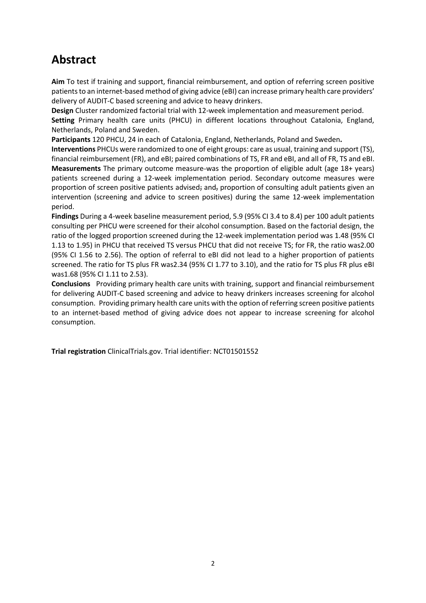# **Abstract**

**Aim** To test if training and support, financial reimbursement, and option of referring screen positive patients to an internet-based method of giving advice (eBI) can increase primary health care providers' delivery of AUDIT-C based screening and advice to heavy drinkers.

**Design** Cluster randomized factorial trial with 12-week implementation and measurement period. **Setting** Primary health care units (PHCU) in different locations throughout Catalonia, England, Netherlands, Poland and Sweden.

**Participants** 120 PHCU, 24 in each of Catalonia, England, Netherlands, Poland and Sweden**.**

**Interventions** PHCUs were randomized to one of eight groups: care as usual, training and support (TS), financial reimbursement (FR), and eBI; paired combinations of TS, FR and eBI, and all of FR, TS and eBI.

**Measurements** The primary outcome measure-was the proportion of eligible adult (age 18+ years) patients screened during a 12-week implementation period. Secondary outcome measures were proportion of screen positive patients advised; and, proportion of consulting adult patients given an intervention (screening and advice to screen positives) during the same 12-week implementation period.

**Findings** During a 4-week baseline measurement period, 5.9 (95% CI 3.4 to 8.4) per 100 adult patients consulting per PHCU were screened for their alcohol consumption. Based on the factorial design, the ratio of the logged proportion screened during the 12-week implementation period was 1.48 (95% CI 1.13 to 1.95) in PHCU that received TS versus PHCU that did not receive TS; for FR, the ratio was2.00 (95% CI 1.56 to 2.56). The option of referral to eBI did not lead to a higher proportion of patients screened. The ratio for TS plus FR was2.34 (95% CI 1.77 to 3.10), and the ratio for TS plus FR plus eBI was1.68 (95% CI 1.11 to 2.53).

**Conclusions** Providing primary health care units with training, support and financial reimbursement for delivering AUDIT-C based screening and advice to heavy drinkers increases screening for alcohol consumption. Providing primary health care units with the option of referring screen positive patients to an internet-based method of giving advice does not appear to increase screening for alcohol consumption.

**Trial registration** ClinicalTrials.gov. Trial identifier: NCT01501552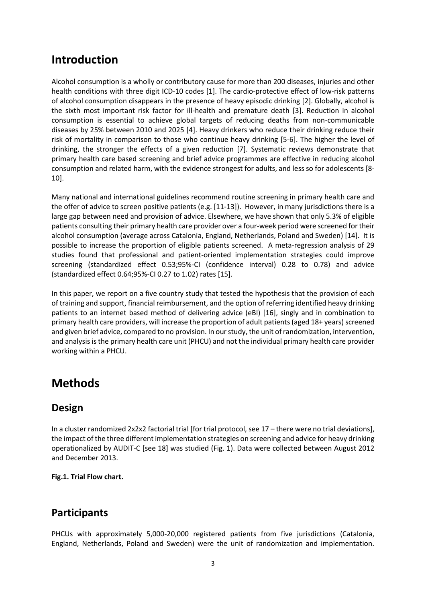# **Introduction**

Alcohol consumption is a wholly or contributory cause for more than 200 diseases, injuries and other health conditions with three digit ICD-10 codes [1]. The cardio-protective effect of low-risk patterns of alcohol consumption disappears in the presence of heavy episodic drinking [2]. Globally, alcohol is the sixth most important risk factor for ill-health and premature death [3]. Reduction in alcohol consumption is essential to achieve global targets of reducing deaths from non-communicable diseases by 25% between 2010 and 2025 [4]. Heavy drinkers who reduce their drinking reduce their risk of mortality in comparison to those who continue heavy drinking [5-6]. The higher the level of drinking, the stronger the effects of a given reduction [7]. Systematic reviews demonstrate that primary health care based screening and brief advice programmes are effective in reducing alcohol consumption and related harm, with the evidence strongest for adults, and less so for adolescents [8- 10].

Many national and international guidelines recommend routine screening in primary health care and the offer of advice to screen positive patients (e.g. [11-13]). However, in many jurisdictions there is a large gap between need and provision of advice. Elsewhere, we have shown that only 5.3% of eligible patients consulting their primary health care provider over a four-week period were screened for their alcohol consumption (average across Catalonia, England, Netherlands, Poland and Sweden) [14]. It is possible to increase the proportion of eligible patients screened. A meta-regression analysis of 29 studies found that professional and patient-oriented implementation strategies could improve screening (standardized effect 0.53;95%-CI (confidence interval) 0.28 to 0.78) and advice (standardized effect 0.64;95%-CI 0.27 to 1.02) rates [15].

In this paper, we report on a five country study that tested the hypothesis that the provision of each of training and support, financial reimbursement, and the option of referring identified heavy drinking patients to an internet based method of delivering advice (eBI) [16], singly and in combination to primary health care providers, will increase the proportion of adult patients (aged 18+ years) screened and given brief advice, compared to no provision. In our study, the unit of randomization, intervention, and analysis is the primary health care unit (PHCU) and not the individual primary health care provider working within a PHCU.

# **Methods**

### **Design**

In a cluster randomized 2x2x2 factorial trial [for trial protocol, see 17 – there were no trial deviations], the impact of the three different implementation strategies on screening and advice for heavy drinking operationalized by AUDIT-C [see 18] was studied (Fig. 1). Data were collected between August 2012 and December 2013.

#### **Fig.1. Trial Flow chart.**

#### **Participants**

PHCUs with approximately 5,000-20,000 registered patients from five jurisdictions (Catalonia, England, Netherlands, Poland and Sweden) were the unit of randomization and implementation.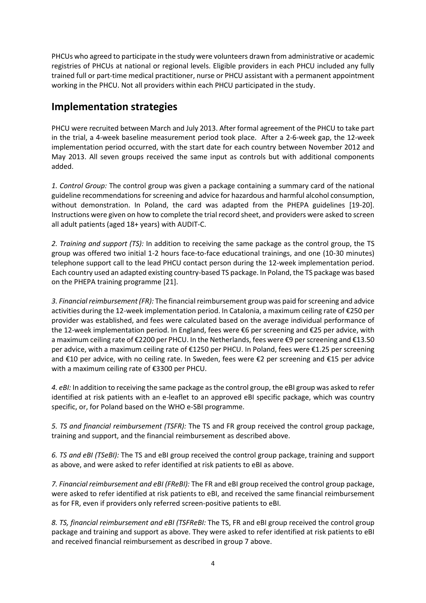PHCUs who agreed to participate in the study were volunteers drawn from administrative or academic registries of PHCUs at national or regional levels. Eligible providers in each PHCU included any fully trained full or part-time medical practitioner, nurse or PHCU assistant with a permanent appointment working in the PHCU. Not all providers within each PHCU participated in the study.

#### **Implementation strategies**

PHCU were recruited between March and July 2013. After formal agreement of the PHCU to take part in the trial, a 4-week baseline measurement period took place. After a 2-6-week gap, the 12-week implementation period occurred, with the start date for each country between November 2012 and May 2013. All seven groups received the same input as controls but with additional components added.

*1. Control Group:* The control group was given a package containing a summary card of the national guideline recommendations for screening and advice for hazardous and harmful alcohol consumption, without demonstration. In Poland, the card was adapted from the PHEPA guidelines [19-20]. Instructions were given on how to complete the trial record sheet, and providers were asked to screen all adult patients (aged 18+ years) with AUDIT-C.

*2. Training and support (TS):* In addition to receiving the same package as the control group, the TS group was offered two initial 1-2 hours face-to-face educational trainings, and one (10-30 minutes) telephone support call to the lead PHCU contact person during the 12-week implementation period. Each country used an adapted existing country-based TS package. In Poland, the TS package was based on the PHEPA training programme [21].

*3. Financial reimbursement(FR):* The financial reimbursement group was paid for screening and advice activities during the 12-week implementation period. In Catalonia, a maximum ceiling rate of €250 per provider was established, and fees were calculated based on the average individual performance of the 12-week implementation period. In England, fees were €6 per screening and €25 per advice, with a maximum ceiling rate of €2200 per PHCU. In the Netherlands, fees were €9 per screening and €13.50 per advice, with a maximum ceiling rate of €1250 per PHCU. In Poland, fees were €1.25 per screening and €10 per advice, with no ceiling rate. In Sweden, fees were €2 per screening and €15 per advice with a maximum ceiling rate of €3300 per PHCU.

*4. eBI:* In addition to receiving the same package as the control group, the eBI group was asked to refer identified at risk patients with an e-leaflet to an approved eBI specific package, which was country specific, or, for Poland based on the WHO e-SBI programme.

*5. TS and financial reimbursement (TSFR):* The TS and FR group received the control group package, training and support, and the financial reimbursement as described above.

*6. TS and eBI (TSeBI):* The TS and eBI group received the control group package, training and support as above, and were asked to refer identified at risk patients to eBI as above.

*7. Financial reimbursement and eBI (FReBI):* The FR and eBI group received the control group package, were asked to refer identified at risk patients to eBI, and received the same financial reimbursement as for FR, even if providers only referred screen-positive patients to eBI.

*8. TS, financial reimbursement and eBI (TSFReBI:* The TS, FR and eBI group received the control group package and training and support as above. They were asked to refer identified at risk patients to eBI and received financial reimbursement as described in group 7 above.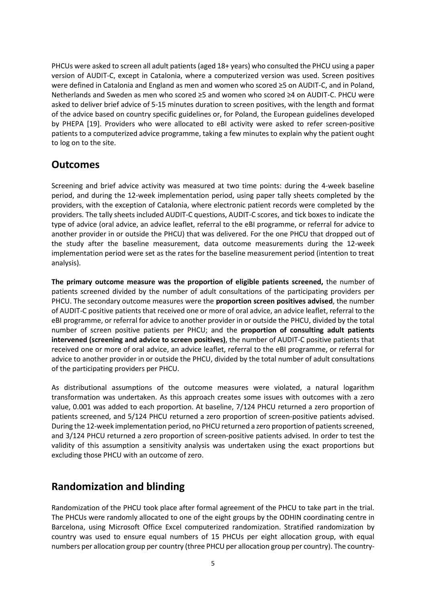PHCUs were asked to screen all adult patients (aged 18+ years) who consulted the PHCU using a paper version of AUDIT-C, except in Catalonia, where a computerized version was used. Screen positives were defined in Catalonia and England as men and women who scored ≥5 on AUDIT-C, and in Poland, Netherlands and Sweden as men who scored ≥5 and women who scored ≥4 on AUDIT-C. PHCU were asked to deliver brief advice of 5-15 minutes duration to screen positives, with the length and format of the advice based on country specific guidelines or, for Poland, the European guidelines developed by PHEPA [19]. Providers who were allocated to eBI activity were asked to refer screen-positive patients to a computerized advice programme, taking a few minutes to explain why the patient ought to log on to the site.

#### **Outcomes**

Screening and brief advice activity was measured at two time points: during the 4-week baseline period, and during the 12-week implementation period, using paper tally sheets completed by the providers, with the exception of Catalonia, where electronic patient records were completed by the providers. The tally sheets included AUDIT-C questions, AUDIT-C scores, and tick boxes to indicate the type of advice (oral advice, an advice leaflet, referral to the eBI programme, or referral for advice to another provider in or outside the PHCU) that was delivered. For the one PHCU that dropped out of the study after the baseline measurement, data outcome measurements during the 12-week implementation period were set as the rates for the baseline measurement period (intention to treat analysis).

**The primary outcome measure was the proportion of eligible patients screened,** the number of patients screened divided by the number of adult consultations of the participating providers per PHCU. The secondary outcome measures were the **proportion screen positives advised**, the number of AUDIT-C positive patients that received one or more of oral advice, an advice leaflet, referral to the eBI programme, or referral for advice to another provider in or outside the PHCU, divided by the total number of screen positive patients per PHCU; and the **proportion of consulting adult patients intervened (screening and advice to screen positives)**, the number of AUDIT-C positive patients that received one or more of oral advice, an advice leaflet, referral to the eBI programme, or referral for advice to another provider in or outside the PHCU, divided by the total number of adult consultations of the participating providers per PHCU.

As distributional assumptions of the outcome measures were violated, a natural logarithm transformation was undertaken. As this approach creates some issues with outcomes with a zero value, 0.001 was added to each proportion. At baseline, 7/124 PHCU returned a zero proportion of patients screened, and 5/124 PHCU returned a zero proportion of screen-positive patients advised. During the 12-week implementation period, no PHCU returned a zero proportion of patients screened, and 3/124 PHCU returned a zero proportion of screen-positive patients advised. In order to test the validity of this assumption a sensitivity analysis was undertaken using the exact proportions but excluding those PHCU with an outcome of zero.

### **Randomization and blinding**

Randomization of the PHCU took place after formal agreement of the PHCU to take part in the trial. The PHCUs were randomly allocated to one of the eight groups by the ODHIN coordinating centre in Barcelona, using Microsoft Office Excel computerized randomization. Stratified randomization by country was used to ensure equal numbers of 15 PHCUs per eight allocation group, with equal numbers per allocation group per country (three PHCU per allocation group per country). The country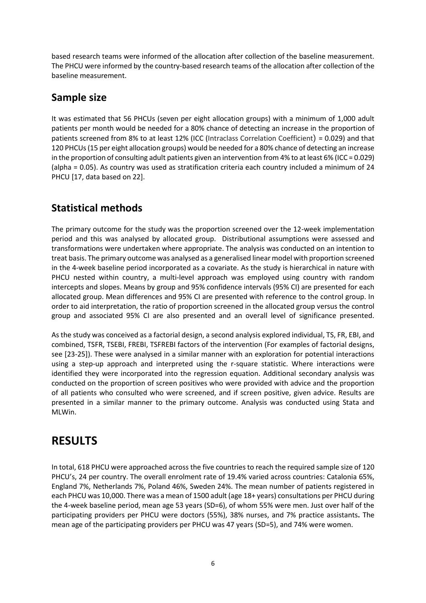based research teams were informed of the allocation after collection of the baseline measurement. The PHCU were informed by the country-based research teams of the allocation after collection of the baseline measurement.

### **Sample size**

It was estimated that 56 PHCUs (seven per eight allocation groups) with a minimum of 1,000 adult patients per month would be needed for a 80% chance of detecting an increase in the proportion of patients screened from 8% to at least 12% (ICC (Intraclass Correlation Coefficient) = 0.029) and that 120 PHCUs(15 per eight allocation groups) would be needed for a 80% chance of detecting an increase in the proportion of consulting adult patients given an intervention from 4% to at least 6% (ICC = 0.029) (alpha = 0.05). As country was used as stratification criteria each country included a minimum of 24 PHCU [17, data based on 22].

## **Statistical methods**

The primary outcome for the study was the proportion screened over the 12-week implementation period and this was analysed by allocated group. Distributional assumptions were assessed and transformations were undertaken where appropriate. The analysis was conducted on an intention to treat basis. The primary outcome was analysed as a generalised linear model with proportion screened in the 4-week baseline period incorporated as a covariate. As the study is hierarchical in nature with PHCU nested within country, a multi-level approach was employed using country with random intercepts and slopes. Means by group and 95% confidence intervals (95% CI) are presented for each allocated group. Mean differences and 95% CI are presented with reference to the control group. In order to aid interpretation, the ratio of proportion screened in the allocated group versus the control group and associated 95% CI are also presented and an overall level of significance presented.

As the study was conceived as a factorial design, a second analysis explored individual, TS, FR, EBI, and combined, TSFR, TSEBI, FREBI, TSFREBI factors of the intervention (For examples of factorial designs, see [23-25]). These were analysed in a similar manner with an exploration for potential interactions using a step-up approach and interpreted using the r-square statistic. Where interactions were identified they were incorporated into the regression equation. Additional secondary analysis was conducted on the proportion of screen positives who were provided with advice and the proportion of all patients who consulted who were screened, and if screen positive, given advice. Results are presented in a similar manner to the primary outcome. Analysis was conducted using Stata and MLWin.

# **RESULTS**

In total, 618 PHCU were approached across the five countries to reach the required sample size of 120 PHCU's, 24 per country. The overall enrolment rate of 19.4% varied across countries: Catalonia 65%, England 7%, Netherlands 7%, Poland 46%, Sweden 24%. The mean number of patients registered in each PHCU was 10,000. There was a mean of 1500 adult (age 18+ years) consultations per PHCU during the 4-week baseline period, mean age 53 years (SD=6), of whom 55% were men. Just over half of the participating providers per PHCU were doctors (55%), 38% nurses, and 7% practice assistants**.** The mean age of the participating providers per PHCU was 47 years (SD=5), and 74% were women.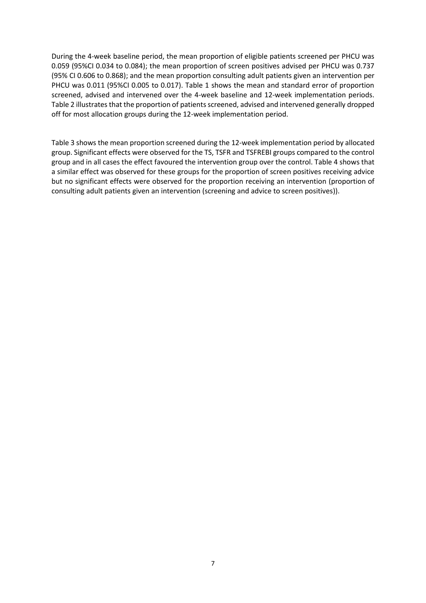During the 4-week baseline period, the mean proportion of eligible patients screened per PHCU was 0.059 (95%CI 0.034 to 0.084); the mean proportion of screen positives advised per PHCU was 0.737 (95% CI 0.606 to 0.868); and the mean proportion consulting adult patients given an intervention per PHCU was 0.011 (95%CI 0.005 to 0.017). Table 1 shows the mean and standard error of proportion screened, advised and intervened over the 4-week baseline and 12-week implementation periods. Table 2 illustrates that the proportion of patients screened, advised and intervened generally dropped off for most allocation groups during the 12-week implementation period.

Table 3 shows the mean proportion screened during the 12-week implementation period by allocated group. Significant effects were observed for the TS, TSFR and TSFREBI groups compared to the control group and in all cases the effect favoured the intervention group over the control. Table 4 shows that a similar effect was observed for these groups for the proportion of screen positives receiving advice but no significant effects were observed for the proportion receiving an intervention (proportion of consulting adult patients given an intervention (screening and advice to screen positives)).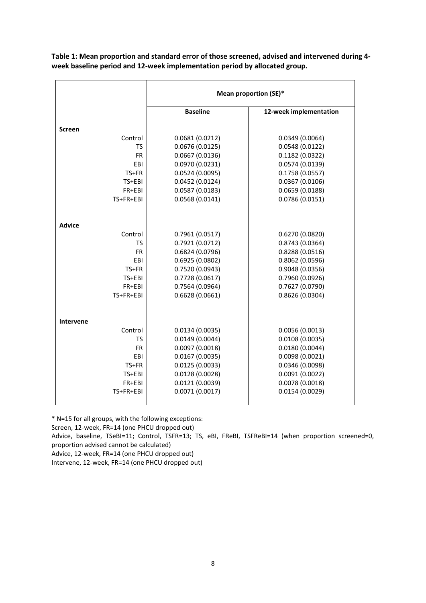|                  | Mean proportion (SE)* |                        |
|------------------|-----------------------|------------------------|
|                  | <b>Baseline</b>       | 12-week implementation |
|                  |                       |                        |
| <b>Screen</b>    |                       |                        |
| Control          | 0.0681(0.0212)        | 0.0349(0.0064)         |
| TS               | 0.0676(0.0125)        | 0.0548(0.0122)         |
| <b>FR</b>        | 0.0667(0.0136)        | 0.1182(0.0322)         |
| EBI              | 0.0970(0.0231)        | 0.0574(0.0139)         |
| $TS+FR$          | 0.0524(0.0095)        | 0.1758(0.0557)         |
| TS+EBI           | 0.0452(0.0124)        | 0.0367(0.0106)         |
| FR+EBI           | 0.0587(0.0183)        | 0.0659(0.0188)         |
| TS+FR+EBI        | 0.0568(0.0141)        | 0.0786(0.0151)         |
|                  |                       |                        |
| <b>Advice</b>    |                       |                        |
| Control          | 0.7961(0.0517)        | 0.6270(0.0820)         |
| <b>TS</b>        | 0.7921 (0.0712)       | 0.8743 (0.0364)        |
| <b>FR</b>        | 0.6824 (0.0796)       | 0.8288 (0.0516)        |
| EBI              | 0.6925(0.0802)        | 0.8062(0.0596)         |
| TS+FR            | 0.7520 (0.0943)       | 0.9048(0.0356)         |
| TS+EBI           | 0.7728(0.0617)        | 0.7960 (0.0926)        |
| FR+EBI           | 0.7564(0.0964)        | 0.7627(0.0790)         |
| TS+FR+EBI        | 0.6628(0.0661)        | 0.8626(0.0304)         |
|                  |                       |                        |
| <b>Intervene</b> |                       |                        |
| Control          | 0.0134(0.0035)        | 0.0056(0.0013)         |
| <b>TS</b>        | 0.0149(0.0044)        | 0.0108(0.0035)         |
| <b>FR</b>        | 0.0097(0.0018)        | 0.0180(0.0044)         |
| EBI              | 0.0167(0.0035)        | 0.0098(0.0021)         |
| $TS+FR$          | 0.0125(0.0033)        | 0.0346 (0.0098)        |
| TS+EBI           | 0.0128(0.0028)        | 0.0091(0.0022)         |
| FR+EBI           | 0.0121(0.0039)        | 0.0078(0.0018)         |
| TS+FR+EBI        | 0.0071(0.0017)        | 0.0154(0.0029)         |
|                  |                       |                        |

**Table 1: Mean proportion and standard error of those screened, advised and intervened during 4 week baseline period and 12-week implementation period by allocated group.**

\* N=15 for all groups, with the following exceptions:

Screen, 12-week, FR=14 (one PHCU dropped out)

Advice, baseline, TSeBI=11; Control, TSFR=13; TS, eBI, FReBI, TSFReBI=14 (when proportion screened=0, proportion advised cannot be calculated)

Advice, 12-week, FR=14 (one PHCU dropped out)

Intervene, 12-week, FR=14 (one PHCU dropped out)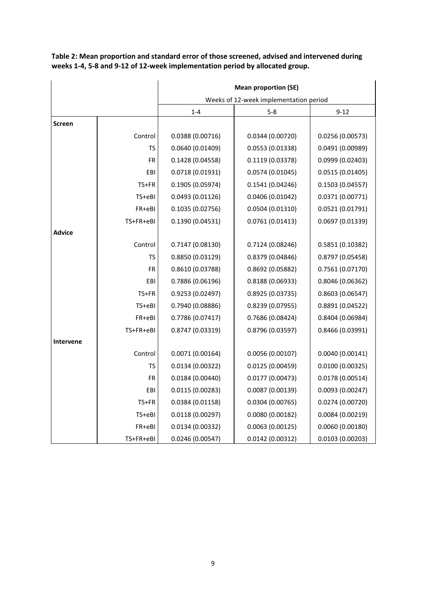|                  |           | <b>Mean proportion (SE)</b> |                                        |                  |
|------------------|-----------|-----------------------------|----------------------------------------|------------------|
|                  |           |                             | Weeks of 12-week implementation period |                  |
|                  |           | $1 - 4$                     | $5 - 8$                                | $9 - 12$         |
| <b>Screen</b>    |           |                             |                                        |                  |
|                  | Control   | 0.0388(0.00716)             | 0.0344(0.00720)                        | 0.0256 (0.00573) |
|                  | <b>TS</b> | 0.0640(0.01409)             | 0.0553(0.01338)                        | 0.0491 (0.00989) |
|                  | FR        | 0.1428 (0.04558)            | 0.1119(0.03378)                        | 0.0999 (0.02403) |
|                  | EBI       | 0.0718(0.01931)             | 0.0574(0.01045)                        | 0.0515(0.01405)  |
|                  | TS+FR     | 0.1905 (0.05974)            | 0.1541(0.04246)                        | 0.1503(0.04557)  |
|                  | TS+eBI    | 0.0493(0.01126)             | 0.0406 (0.01042)                       | 0.0371 (0.00771) |
|                  | FR+eBI    | 0.1035(0.02756)             | 0.0504(0.01310)                        | 0.0521(0.01791)  |
|                  | TS+FR+eBI | 0.1390(0.04531)             | 0.0761(0.01413)                        | 0.0697(0.01339)  |
| <b>Advice</b>    |           |                             |                                        |                  |
|                  | Control   | 0.7147(0.08130)             | 0.7124(0.08246)                        | 0.5851(0.10382)  |
|                  | <b>TS</b> | 0.8850 (0.03129)            | 0.8379 (0.04846)                       | 0.8797(0.05458)  |
|                  | FR        | 0.8610 (0.03788)            | 0.8692 (0.05882)                       | 0.7561(0.07170)  |
|                  | EBI       | 0.7886 (0.06196)            | 0.8188(0.06933)                        | 0.8046 (0.06362) |
|                  | TS+FR     | 0.9253 (0.02497)            | 0.8925 (0.03735)                       | 0.8603(0.06547)  |
|                  | TS+eBI    | 0.7940 (0.08886)            | 0.8239 (0.07955)                       | 0.8891 (0.04522) |
|                  | FR+eBI    | 0.7786 (0.07417)            | 0.7686 (0.08424)                       | 0.8404 (0.06984) |
|                  | TS+FR+eBI | 0.8747(0.03319)             | 0.8796 (0.03597)                       | 0.8466 (0.03991) |
| <b>Intervene</b> |           |                             |                                        |                  |
|                  | Control   | 0.0071(0.00164)             | 0.0056 (0.00107)                       | 0.0040(0.00141)  |
|                  | TS        | 0.0134(0.00322)             | 0.0125(0.00459)                        | 0.0100(0.00325)  |
|                  | FR        | 0.0184(0.00440)             | 0.0177(0.00473)                        | 0.0178(0.00514)  |
|                  | EBI       | 0.0115(0.00283)             | 0.0087(0.00139)                        | 0.0093(0.00247)  |
|                  | TS+FR     | 0.0384(0.01158)             | 0.0304(0.00765)                        | 0.0274 (0.00720) |
|                  | TS+eBI    | 0.0118(0.00297)             | 0.0080(0.00182)                        | 0.0084(0.00219)  |
|                  | FR+eBI    | 0.0134(0.00332)             | 0.0063(0.00125)                        | 0.0060(0.00180)  |
|                  | TS+FR+eBI | 0.0246 (0.00547)            | 0.0142(0.00312)                        | 0.0103(0.00203)  |

**Table 2: Mean proportion and standard error of those screened, advised and intervened during weeks 1-4, 5-8 and 9-12 of 12-week implementation period by allocated group.**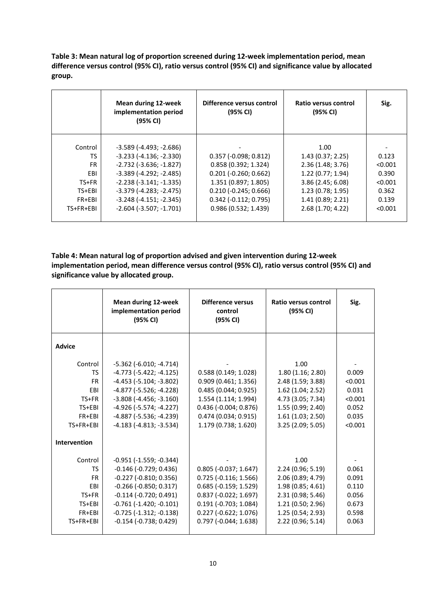**Table 3: Mean natural log of proportion screened during 12-week implementation period, mean difference versus control (95% CI), ratio versus control (95% CI) and significance value by allocated group.**

|           | <b>Mean during 12-week</b><br>implementation period<br>(95% CI) | Difference versus control<br>(95% CI) | Ratio versus control<br>(95% CI) | Sig.    |
|-----------|-----------------------------------------------------------------|---------------------------------------|----------------------------------|---------|
| Control   | $-3.589$ ( $-4.493$ ; $-2.686$ )                                |                                       | 1.00                             |         |
| TS.       | $-3.233(-4.136; -2.330)$                                        | $0.357 (-0.098; 0.812)$               | 1.43(0.37; 2.25)                 | 0.123   |
|           |                                                                 |                                       |                                  |         |
| FR.       | $-2.732$ ( $-3.636$ ; $-1.827$ )                                | 0.858(0.392; 1.324)                   | 2.36(1.48; 3.76)                 | < 0.001 |
| EBI       | $-3.389$ ( $-4.292$ ; $-2.485$ )                                | $0.201$ ( $-0.260$ ; $0.662$ )        | 1.22 (0.77; 1.94)                | 0.390   |
| TS+FR     | $-2.238(-3.141,-1.335)$                                         | 1.351 (0.897; 1.805)                  | 3.86(2.45; 6.08)                 | < 0.001 |
| TS+EBI    | $-3.379$ ( $-4.283$ ; $-2.475$ )                                | $0.210$ (-0.245; 0.666)               | 1.23 (0.78; 1.95)                | 0.362   |
| FR+EBI    | $-3.248$ ( $-4.151$ ; $-2.345$ )                                | $0.342$ (-0.112; 0.795)               | 1.41(0.89; 2.21)                 | 0.139   |
| TS+FR+EBI | $-2.604$ ( $-3.507$ ; $-1.701$ )                                | 0.986(0.532; 1.439)                   | 2.68 (1.70; 4.22)                | < 0.001 |
|           |                                                                 |                                       |                                  |         |

**Table 4: Mean natural log of proportion advised and given intervention during 12-week implementation period, mean difference versus control (95% CI), ratio versus control (95% CI) and significance value by allocated group.**

|                     | <b>Mean during 12-week</b><br>implementation period<br>(95% CI) | <b>Difference versus</b><br>control<br>(95% CI) | Ratio versus control<br>(95% CI) | Sig.    |
|---------------------|-----------------------------------------------------------------|-------------------------------------------------|----------------------------------|---------|
| <b>Advice</b>       |                                                                 |                                                 |                                  |         |
| Control             | $-5.362$ ( $-6.010$ ; $-4.714$ )                                |                                                 | 1.00                             |         |
| <b>TS</b>           | $-4.773$ ( $-5.422$ ; $-4.125$ )                                | 0.588(0.149; 1.028)                             | 1.80 (1.16; 2.80)                | 0.009   |
| <b>FR</b>           | $-4.453$ ( $-5.104$ ; $-3.802$ )                                | 0.909(0.461; 1.356)                             | 2.48 (1.59; 3.88)                | < 0.001 |
| EBI                 | $-4.877$ ( $-5.526$ ; $-4.228$ )                                | 0.485(0.044; 0.925)                             | 1.62 (1.04; 2.52)                | 0.031   |
| TS+FR               | $-3.808$ ( $-4.456$ ; $-3.160$ )                                | 1.554 (1.114; 1.994)                            | 4.73 (3.05; 7.34)                | < 0.001 |
| TS+EBI              | $-4.926$ ( $-5.574$ ; $-4.227$ )                                | $0.436$ (-0.004; 0.876)                         | 1.55 (0.99; 2.40)                | 0.052   |
| FR+EBI              | $-4.887$ ( $-5.536$ ; $-4.239$ )                                | 0.474 (0.034; 0.915)                            | 1.61(1.03; 2.50)                 | 0.035   |
| TS+FR+EBI           | $-4.183$ ( $-4.813$ ; $-3.534$ )                                | 1.179 (0.738; 1.620)                            | 3.25 (2.09; 5.05)                | < 0.001 |
| <b>Intervention</b> |                                                                 |                                                 |                                  |         |
| Control             | $-0.951$ ( $-1.559$ ; $-0.344$ )                                |                                                 | 1.00                             |         |
| TS                  | $-0.146$ ( $-0.729$ ; 0.436)                                    | $0.805$ (-0.037; 1.647)                         | 2.24 (0.96; 5.19)                | 0.061   |
| <b>FR</b>           | $-0.227$ $(-0.810; 0.356)$                                      | $0.725$ (-0.116; 1.566)                         | 2.06 (0.89; 4.79)                | 0.091   |
| EBI                 | $-0.266$ ( $-0.850$ ; 0.317)                                    | $0.685$ (-0.159; 1.529)                         | 1.98 (0.85; 4.61)                | 0.110   |
| $TS+FR$             | $-0.114 (-0.720; 0.491)$                                        | $0.837$ (-0.022; 1.697)                         | 2.31 (0.98; 5.46)                | 0.056   |
| TS+EBI              | $-0.761$ $(-1.420; -0.101)$                                     | $0.191$ (-0.703; 1.084)                         | 1.21 (0.50; 2.96)                | 0.673   |
| FR+EBI              | $-0.725$ ( $-1.312$ ; $-0.138$ )                                | $0.227 (-0.622; 1.076)$                         | 1.25 (0.54; 2.93)                | 0.598   |
| TS+FR+EBI           | $-0.154$ ( $-0.738$ ; 0.429)                                    | $0.797$ (-0.044; 1.638)                         | 2.22 (0.96; 5.14)                | 0.063   |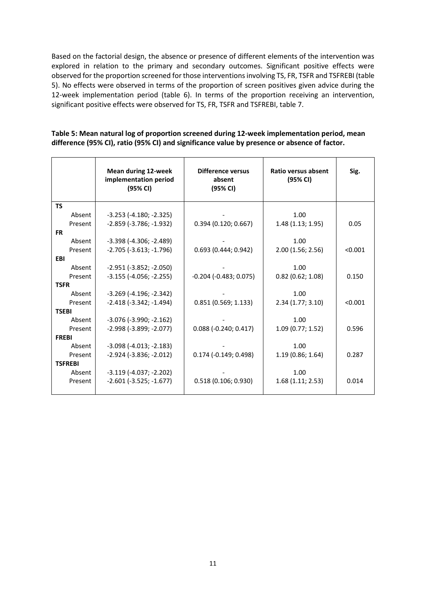Based on the factorial design, the absence or presence of different elements of the intervention was explored in relation to the primary and secondary outcomes. Significant positive effects were observed for the proportion screened for those interventions involving TS, FR, TSFR and TSFREBI (table 5). No effects were observed in terms of the proportion of screen positives given advice during the 12-week implementation period (table 6). In terms of the proportion receiving an intervention, significant positive effects were observed for TS, FR, TSFR and TSFREBI, table 7.

|                | <b>Mean during 12-week</b><br>implementation period<br>(95% CI) | Difference versus<br>absent<br>(95% CI) | Ratio versus absent<br>(95% CI) | Sig.    |
|----------------|-----------------------------------------------------------------|-----------------------------------------|---------------------------------|---------|
| <b>TS</b>      |                                                                 |                                         |                                 |         |
| Absent         | $-3.253$ $(-4.180; -2.325)$                                     |                                         | 1.00                            |         |
| Present        | $-2.859$ ( $-3.786$ ; $-1.932$ )                                | 0.394(0.120; 0.667)                     | 1.48(1.13; 1.95)                | 0.05    |
| <b>FR</b>      |                                                                 |                                         |                                 |         |
| Absent         | $-3.398$ ( $-4.306$ ; $-2.489$ )                                |                                         | 1.00                            |         |
| Present        | $-2.705$ ( $-3.613$ ; $-1.796$ )                                | 0.693(0.444; 0.942)                     | 2.00 (1.56; 2.56)               | < 0.001 |
| <b>EBI</b>     |                                                                 |                                         |                                 |         |
| Absent         | $-2.951$ ( $-3.852$ ; $-2.050$ )                                |                                         | 1.00                            |         |
| Present        | $-3.155$ ( $-4.056$ ; $-2.255$ )                                | $-0.204$ ( $-0.483$ ; 0.075)            | $0.82$ (0.62; 1.08)             | 0.150   |
| <b>TSFR</b>    |                                                                 |                                         |                                 |         |
| Absent         | $-3.269$ ( $-4.196$ ; $-2.342$ )                                |                                         | 1.00                            |         |
| Present        | $-2.418$ ( $-3.342$ ; $-1.494$ )                                | 0.851(0.569; 1.133)                     | 2.34(1.77; 3.10)                | < 0.001 |
| <b>TSEBI</b>   |                                                                 |                                         |                                 |         |
| Absent         | $-3.076$ ( $-3.990$ ; $-2.162$ )                                |                                         | 1.00                            |         |
| Present        | $-2.998$ ( $-3.899$ ; $-2.077$ )                                | $0.088 (-0.240; 0.417)$                 | 1.09(0.77; 1.52)                | 0.596   |
| <b>FREBI</b>   |                                                                 |                                         |                                 |         |
| Absent         | $-3.098$ ( $-4.013$ ; $-2.183$ )                                |                                         | 1.00                            |         |
| Present        | $-2.924$ ( $-3.836$ ; $-2.012$ )                                | $0.174$ (-0.149; 0.498)                 | 1.19 (0.86; 1.64)               | 0.287   |
| <b>TSFREBI</b> |                                                                 |                                         |                                 |         |
| Absent         | $-3.119$ ( $-4.037$ ; $-2.202$ )                                |                                         | 1.00                            |         |
| Present        | $-2.601$ $(-3.525; -1.677)$                                     | 0.518(0.106; 0.930)                     | 1.68(1.11; 2.53)                | 0.014   |

#### **Table 5: Mean natural log of proportion screened during 12-week implementation period, mean difference (95% CI), ratio (95% CI) and significance value by presence or absence of factor.**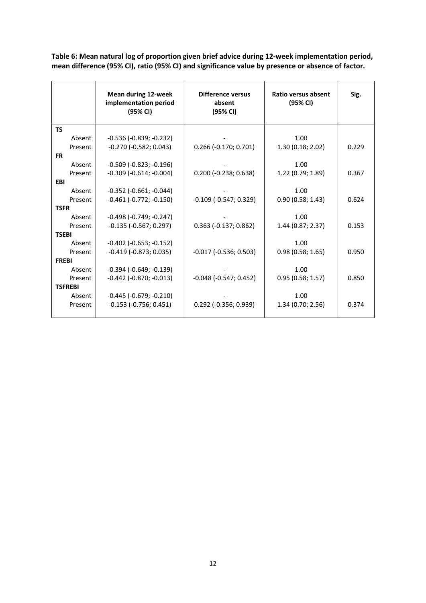**Table 6: Mean natural log of proportion given brief advice during 12-week implementation period, mean difference (95% CI), ratio (95% CI) and significance value by presence or absence of factor.**

|                | <b>Mean during 12-week</b><br>implementation period<br>(95% CI) | <b>Difference versus</b><br>absent<br>(95% CI) | <b>Ratio versus absent</b><br>(95% CI) | Sig.  |
|----------------|-----------------------------------------------------------------|------------------------------------------------|----------------------------------------|-------|
| <b>TS</b>      |                                                                 |                                                |                                        |       |
| Absent         | $-0.536$ ( $-0.839$ ; $-0.232$ )                                |                                                | 1.00                                   |       |
| Present        | $-0.270$ ( $-0.582$ ; 0.043)                                    | $0.266$ (-0.170; 0.701)                        | 1.30(0.18; 2.02)                       | 0.229 |
| <b>FR</b>      |                                                                 |                                                |                                        |       |
| Absent         | $-0.509$ $(-0.823; -0.196)$                                     |                                                | 1.00                                   |       |
| Present        | $-0.309$ $(-0.614; -0.004)$                                     | $0.200$ (-0.238; 0.638)                        | 1.22 (0.79; 1.89)                      | 0.367 |
| <b>EBI</b>     |                                                                 |                                                |                                        |       |
| Absent         | $-0.352$ ( $-0.661$ ; $-0.044$ )                                |                                                | 1.00                                   |       |
| Present        | $-0.461$ $(-0.772; -0.150)$                                     | $-0.109$ $(-0.547; 0.329)$                     | 0.90(0.58; 1.43)                       | 0.624 |
| <b>TSFR</b>    |                                                                 |                                                |                                        |       |
| Absent         | $-0.498$ ( $-0.749$ ; $-0.247$ )                                |                                                | 1.00                                   |       |
| Present        | $-0.135$ $(-0.567; 0.297)$                                      | $0.363$ (-0.137; 0.862)                        | 1.44 (0.87; 2.37)                      | 0.153 |
| <b>TSEBI</b>   |                                                                 |                                                |                                        |       |
| Absent         | $-0.402$ ( $-0.653$ ; $-0.152$ )                                |                                                | 1.00                                   |       |
| Present        | $-0.419$ $(-0.873; 0.035)$                                      | $-0.017$ ( $-0.536$ ; 0.503)                   | 0.98(0.58; 1.65)                       | 0.950 |
| <b>FREBI</b>   |                                                                 |                                                |                                        |       |
| Absent         | $-0.394$ ( $-0.649$ ; $-0.139$ )                                |                                                | 1.00                                   |       |
| Present        | $-0.442$ ( $-0.870$ ; $-0.013$ )                                | $-0.048$ ( $-0.547$ ; 0.452)                   | 0.95(0.58; 1.57)                       | 0.850 |
| <b>TSFREBI</b> |                                                                 |                                                |                                        |       |
| Absent         | $-0.445$ ( $-0.679$ ; $-0.210$ )                                |                                                | 1.00                                   |       |
| Present        | $-0.153$ $(-0.756; 0.451)$                                      | $0.292$ (-0.356; 0.939)                        | 1.34(0.70; 2.56)                       | 0.374 |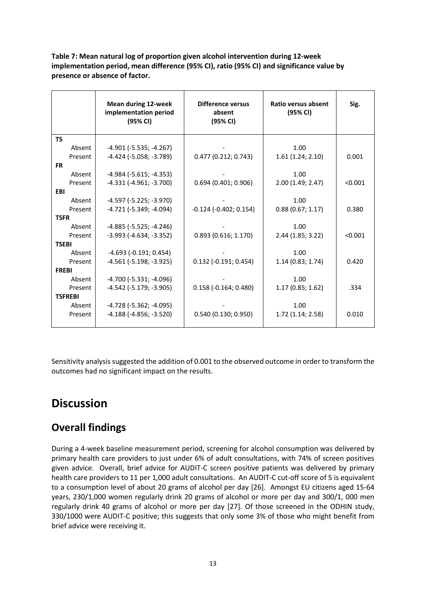**Table 7: Mean natural log of proportion given alcohol intervention during 12-week implementation period, mean difference (95% CI), ratio (95% CI) and significance value by presence or absence of factor.**

|                | <b>Mean during 12-week</b><br>implementation period<br>(95% CI) | Difference versus<br>absent<br>(95% CI) | <b>Ratio versus absent</b><br>(95% CI) | Sig.    |
|----------------|-----------------------------------------------------------------|-----------------------------------------|----------------------------------------|---------|
| <b>TS</b>      |                                                                 |                                         |                                        |         |
| Absent         | $-4.901$ ( $-5.535$ ; $-4.267$ )                                |                                         | 1.00                                   |         |
| Present        | $-4.424$ ( $-5.058$ ; $-3.789$ )                                | 0.477(0.212; 0.743)                     | 1.61(1.24; 2.10)                       | 0.001   |
| <b>FR</b>      |                                                                 |                                         |                                        |         |
| Absent         | $-4.984$ ( $-5.615$ ; $-4.353$ )                                |                                         | 1.00                                   |         |
| Present        | $-4.331$ $(-4.961; -3.700)$                                     | 0.694(0.401; 0.906)                     | 2.00(1.49; 2.47)                       | < 0.001 |
| <b>EBI</b>     |                                                                 |                                         |                                        |         |
| Absent         | $-4.597$ ( $-5.225$ ; $-3.970$ )                                |                                         | 1.00                                   |         |
| Present        | $-4.721$ ( $-5.349$ ; $-4.094$ )                                | $-0.124$ ( $-0.402$ ; 0.154)            | 0.88(0.67; 1.17)                       | 0.380   |
| <b>TSFR</b>    |                                                                 |                                         |                                        |         |
| Absent         | $-4.885$ ( $-5.525$ ; $-4.246$ )                                |                                         | 1.00                                   |         |
| Present        | $-3.993$ ( $-4.634$ ; $-3.352$ )                                | 0.893(0.616; 1.170)                     | 2.44 (1.85; 3.22)                      | < 0.001 |
| <b>TSEBI</b>   |                                                                 |                                         |                                        |         |
| Absent         | $-4.693$ ( $-0.191$ ; 0.454)                                    |                                         | 1.00                                   |         |
| Present        | $-4.561$ ( $-5.198$ ; $-3.925$ )                                | $0.132$ (-0.191; 0.454)                 | 1.14(0.83; 1.74)                       | 0.420   |
| <b>FREBI</b>   |                                                                 |                                         |                                        |         |
| Absent         | $-4.700$ ( $-5.331$ ; $-4.096$ )                                |                                         | 1.00                                   |         |
| Present        | $-4.542$ ( $-5.179$ ; $-3.905$ )                                | $0.158 (-0.164; 0.480)$                 | 1.17(0.85; 1.62)                       | .334    |
| <b>TSFREBI</b> |                                                                 |                                         |                                        |         |
| Absent         | $-4.728$ ( $-5.362$ ; $-4.095$ )                                |                                         | 1.00                                   |         |
| Present        | $-4.188$ ( $-4.856$ ; $-3.520$ )                                | 0.540(0.130; 0.950)                     | 1.72 (1.14; 2.58)                      | 0.010   |
|                |                                                                 |                                         |                                        |         |

Sensitivity analysis suggested the addition of 0.001 to the observed outcome in order to transform the outcomes had no significant impact on the results.

# **Discussion**

### **Overall findings**

During a 4-week baseline measurement period, screening for alcohol consumption was delivered by primary health care providers to just under 6% of adult consultations, with 74% of screen positives given advice. Overall, brief advice for AUDIT-C screen positive patients was delivered by primary health care providers to 11 per 1,000 adult consultations. An AUDIT-C cut-off score of 5 is equivalent to a consumption level of about 20 grams of alcohol per day [26]. Amongst EU citizens aged 15-64 years, 230/1,000 women regularly drink 20 grams of alcohol or more per day and 300/1, 000 men regularly drink 40 grams of alcohol or more per day [27]. Of those screened in the ODHIN study, 330/1000 were AUDIT-C positive; this suggests that only some 3% of those who might benefit from brief advice were receiving it.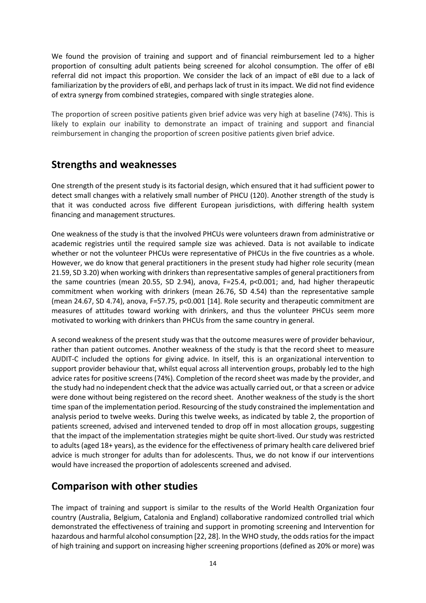We found the provision of training and support and of financial reimbursement led to a higher proportion of consulting adult patients being screened for alcohol consumption. The offer of eBI referral did not impact this proportion. We consider the lack of an impact of eBI due to a lack of familiarization by the providers of eBI, and perhaps lack of trust in its impact. We did not find evidence of extra synergy from combined strategies, compared with single strategies alone.

The proportion of screen positive patients given brief advice was very high at baseline (74%). This is likely to explain our inability to demonstrate an impact of training and support and financial reimbursement in changing the proportion of screen positive patients given brief advice.

#### **Strengths and weaknesses**

One strength of the present study is its factorial design, which ensured that it had sufficient power to detect small changes with a relatively small number of PHCU (120). Another strength of the study is that it was conducted across five different European jurisdictions, with differing health system financing and management structures.

One weakness of the study is that the involved PHCUs were volunteers drawn from administrative or academic registries until the required sample size was achieved. Data is not available to indicate whether or not the volunteer PHCUs were representative of PHCUs in the five countries as a whole. However, we do know that general practitioners in the present study had higher role security (mean 21.59, SD 3.20) when working with drinkers than representative samples of general practitioners from the same countries (mean 20.55, SD 2.94), anova, F=25.4, p<0.001; and, had higher therapeutic commitment when working with drinkers (mean 26.76, SD 4.54) than the representative sample (mean 24.67, SD 4.74), anova, F=57.75, p<0.001 [14]. Role security and therapeutic commitment are measures of attitudes toward working with drinkers, and thus the volunteer PHCUs seem more motivated to working with drinkers than PHCUs from the same country in general.

A second weakness of the present study was that the outcome measures were of provider behaviour, rather than patient outcomes. Another weakness of the study is that the record sheet to measure AUDIT-C included the options for giving advice. In itself, this is an organizational intervention to support provider behaviour that, whilst equal across all intervention groups, probably led to the high advice rates for positive screens (74%). Completion of the record sheet was made by the provider, and the study had no independent check that the advice was actually carried out, or that a screen or advice were done without being registered on the record sheet. Another weakness of the study is the short time span of the implementation period. Resourcing of the study constrained the implementation and analysis period to twelve weeks. During this twelve weeks, as indicated by table 2, the proportion of patients screened, advised and intervened tended to drop off in most allocation groups, suggesting that the impact of the implementation strategies might be quite short-lived. Our study was restricted to adults (aged 18+ years), as the evidence for the effectiveness of primary health care delivered brief advice is much stronger for adults than for adolescents. Thus, we do not know if our interventions would have increased the proportion of adolescents screened and advised.

### **Comparison with other studies**

The impact of training and support is similar to the results of the World Health Organization four country (Australia, Belgium, Catalonia and England) collaborative randomized controlled trial which demonstrated the effectiveness of training and support in promoting screening and Intervention for hazardous and harmful alcohol consumption [22, 28]. In the WHO study, the odds ratios for the impact of high training and support on increasing higher screening proportions (defined as 20% or more) was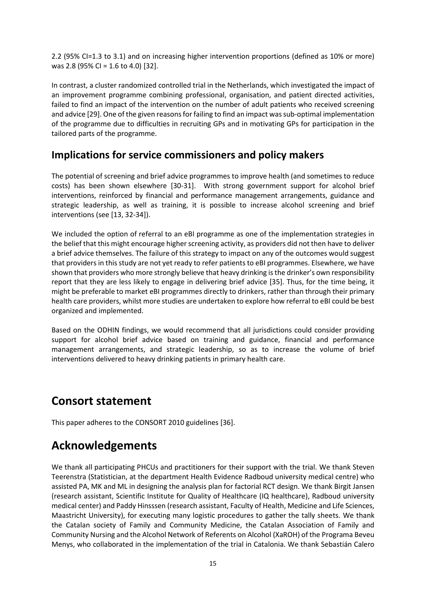2.2 (95% CI=1.3 to 3.1) and on increasing higher intervention proportions (defined as 10% or more) was 2.8 (95% CI = 1.6 to 4.0) [32].

In contrast, a cluster randomized controlled trial in the Netherlands, which investigated the impact of an improvement programme combining professional, organisation, and patient directed activities, failed to find an impact of the intervention on the number of adult patients who received screening and advice [29]. One of the given reasons for failing to find an impact was sub-optimal implementation of the programme due to difficulties in recruiting GPs and in motivating GPs for participation in the tailored parts of the programme.

#### **Implications for service commissioners and policy makers**

The potential of screening and brief advice programmes to improve health (and sometimes to reduce costs) has been shown elsewhere [30-31]. With strong government support for alcohol brief interventions, reinforced by financial and performance management arrangements, guidance and strategic leadership, as well as training, it is possible to increase alcohol screening and brief interventions (see [13, 32-34]).

We included the option of referral to an eBI programme as one of the implementation strategies in the belief that this might encourage higher screening activity, as providers did not then have to deliver a brief advice themselves. The failure of this strategy to impact on any of the outcomes would suggest that providers in this study are not yet ready to refer patients to eBI programmes. Elsewhere, we have shown that providers who more strongly believe that heavy drinking is the drinker's own responsibility report that they are less likely to engage in delivering brief advice [35]. Thus, for the time being, it might be preferable to market eBI programmes directly to drinkers, rather than through their primary health care providers, whilst more studies are undertaken to explore how referral to eBI could be best organized and implemented.

Based on the ODHIN findings, we would recommend that all jurisdictions could consider providing support for alcohol brief advice based on training and guidance, financial and performance management arrangements, and strategic leadership, so as to increase the volume of brief interventions delivered to heavy drinking patients in primary health care.

# **Consort statement**

This paper adheres to the CONSORT 2010 guidelines [36].

# **Acknowledgements**

We thank all participating PHCUs and practitioners for their support with the trial. We thank Steven Teerenstra (Statistician, at the department Health Evidence Radboud university medical centre) who assisted PA, MK and ML in designing the analysis plan for factorial RCT design. We thank Birgit Jansen (research assistant, Scientific Institute for Quality of Healthcare (IQ healthcare), Radboud university medical center) and Paddy Hinsssen (research assistant, Faculty of Health, Medicine and Life Sciences, Maastricht University), for executing many logistic procedures to gather the tally sheets. We thank the Catalan society of Family and Community Medicine, the Catalan Association of Family and Community Nursing and the Alcohol Network of Referents on Alcohol (XaROH) of the Programa Beveu Menys, who collaborated in the implementation of the trial in Catalonia. We thank Sebastián Calero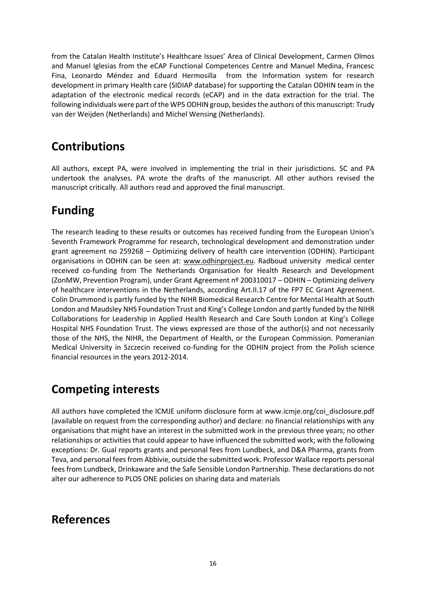from the Catalan Health Institute's Healthcare Issues' Area of Clinical Development, Carmen Olmos and Manuel Iglesias from the eCAP Functional Competences Centre and Manuel Medina, Francesc Fina, Leonardo Méndez and Eduard Hermosilla from the Information system for research development in primary Health care (SIDIAP database) for supporting the Catalan ODHIN team in the adaptation of the electronic medical records (eCAP) and in the data extraction for the trial. The following individuals were part of the WP5 ODHIN group, besides the authors of this manuscript: Trudy van der Weijden (Netherlands) and Michel Wensing (Netherlands).

# **Contributions**

All authors, except PA, were involved in implementing the trial in their jurisdictions. SC and PA undertook the analyses. PA wrote the drafts of the manuscript. All other authors revised the manuscript critically. All authors read and approved the final manuscript.

# **Funding**

The research leading to these results or outcomes has received funding from the European Union's Seventh Framework Programme for research, technological development and demonstration under grant agreement no 259268 – Optimizing delivery of health care intervention (ODHIN). Participant organisations in ODHIN can be seen at: [www.odhinproject.eu.](http://www.odhinproject.eu/) Radboud university medical center received co-funding from The Netherlands Organisation for Health Research and Development (ZonMW, Prevention Program), under Grant Agreement nº 200310017 – ODHIN – Optimizing delivery of healthcare interventions in the Netherlands, according Art.II.17 of the FP7 EC Grant Agreement. Colin Drummond is partly funded by the NIHR Biomedical Research Centre for Mental Health at South London and Maudsley NHS Foundation Trust and King's College London and partly funded by the NIHR Collaborations for Leadership in Applied Health Research and Care South London at King's College Hospital NHS Foundation Trust. The views expressed are those of the author(s) and not necessarily those of the NHS, the NIHR, the Department of Health, or the European Commission. Pomeranian Medical University in Szczecin received co-funding for the ODHIN project from the Polish science financial resources in the years 2012-2014.

# **Competing interests**

All authors have completed the ICMJE uniform disclosure form at www.icmje.org/coi\_disclosure.pdf (available on request from the corresponding author) and declare: no financial relationships with any organisations that might have an interest in the submitted work in the previous three years; no other relationships or activities that could appear to have influenced the submitted work; with the following exceptions: Dr. Gual reports grants and personal fees from Lundbeck, and D&A Pharma, grants from Teva, and personal fees from Abbivie, outside the submitted work. Professor Wallace reports personal fees from Lundbeck, Drinkaware and the Safe Sensible London Partnership. These declarations do not alter our adherence to PLOS ONE policies on sharing data and materials

# **References**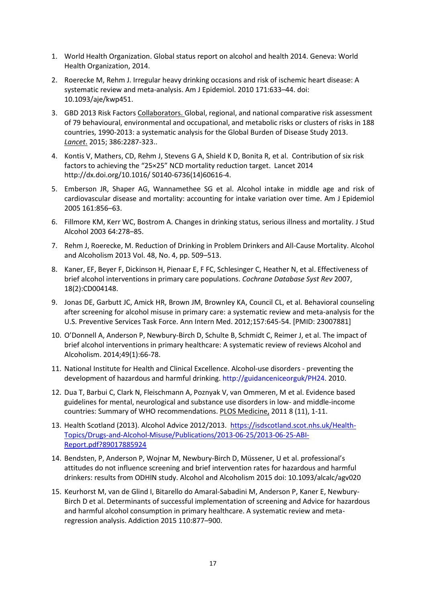- 1. World Health Organization. Global status report on alcohol and health 2014. Geneva: World Health Organization, 2014.
- 2. Roerecke M, Rehm J. Irregular heavy drinking occasions and risk of ischemic heart disease: A systematic review and meta-analysis. Am J Epidemiol. 2010 171:633–44. doi: 10.1093/aje/kwp451.
- 3. GBD 2013 Risk Factors [Collaborators.](http://www.ncbi.nlm.nih.gov/pubmed/?term=GBD%202013%20Risk%20Factors%20Collaborators%5BCorporate%20Author%5D) Global, regional, and national comparative risk assessment of 79 behavioural, environmental and occupational, and metabolic risks or clusters of risks in 188 countries, 1990-2013: a systematic analysis for the Global Burden of Disease Study 2013. *[Lancet](http://www.ncbi.nlm.nih.gov/pubmed/26364544)*. 2015; 386:2287-323..
- 4. Kontis V, Mathers, CD, Rehm J, Stevens G A, Shield K D, Bonita R, et al. Contribution of six risk factors to achieving the "25×25" NCD mortality reduction target. Lancet 2014 http://dx.doi.org/10.1016/ S0140-6736(14)60616-4.
- 5. Emberson JR, Shaper AG, Wannamethee SG et al. Alcohol intake in middle age and risk of cardiovascular disease and mortality: accounting for intake variation over time. Am J Epidemiol 2005 161:856–63.
- 6. Fillmore KM, Kerr WC, Bostrom A. Changes in drinking status, serious illness and mortality. J Stud Alcohol 2003 64:278–85.
- 7. Rehm J, Roerecke, M. Reduction of Drinking in Problem Drinkers and All-Cause Mortality. Alcohol and Alcoholism 2013 Vol. 48, No. 4, pp. 509–513.
- 8. Kaner, EF, Beyer F, Dickinson H, Pienaar E, F FC, Schlesinger C, Heather N, et al. Effectiveness of brief alcohol interventions in primary care populations. *Cochrane Database Syst Rev* 2007, 18(2):CD004148.
- 9. Jonas DE, Garbutt JC, Amick HR, Brown JM, Brownley KA, Council CL, et al. Behavioral counseling after screening for alcohol misuse in primary care: a systematic review and meta-analysis for the U.S. Preventive Services Task Force. Ann Intern Med. 2012;157:645-54. [PMID: 23007881]
- 10. O'Donnell A, Anderson P, Newbury-Birch D, Schulte B, Schmidt C, Reimer J, et al. The impact of brief alcohol interventions in primary healthcare: A systematic review of reviews Alcohol and Alcoholism. 2014;49(1):66-78.
- 11. National Institute for Health and Clinical Excellence. Alcohol-use disorders preventing the development of hazardous and harmful drinking. http://guidanceniceorguk/PH24. 2010.
- 12. Dua T, Barbui C, Clark N, Fleischmann A, Poznyak V, van Ommeren, M et al. Evidence based guidelines for mental, neurological and substance use disorders in low- and middle-income countries: Summary of WHO recommendations. PLOS Medicine, 2011 8 (11), 1-11.
- 13. Health Scotland (2013). Alcohol Advice 2012/2013. [https://isdscotland.scot.nhs.uk/Health-](https://isdscotland.scot.nhs.uk/Health-Topics/Drugs-and-Alcohol-Misuse/Publications/2013-06-25/2013-06-25-ABI-Report.pdf?89017885924)[Topics/Drugs-and-Alcohol-Misuse/Publications/2013-06-25/2013-06-25-ABI-](https://isdscotland.scot.nhs.uk/Health-Topics/Drugs-and-Alcohol-Misuse/Publications/2013-06-25/2013-06-25-ABI-Report.pdf?89017885924)[Report.pdf?89017885924](https://isdscotland.scot.nhs.uk/Health-Topics/Drugs-and-Alcohol-Misuse/Publications/2013-06-25/2013-06-25-ABI-Report.pdf?89017885924)
- 14. Bendsten, P, Anderson P, Wojnar M, Newbury-Birch D, Müssener, U et al. professional's attitudes do not influence screening and brief intervention rates for hazardous and harmful drinkers: results from ODHIN study. Alcohol and Alcoholism 2015 doi: 10.1093/alcalc/agv020
- 15. Keurhorst M, van de Glind I, Bitarello do Amaral-Sabadini M, Anderson P, Kaner E, Newbury-Birch D et al. Determinants of successful implementation of screening and Advice for hazardous and harmful alcohol consumption in primary healthcare. A systematic review and metaregression analysis. Addiction 2015 110:877–900.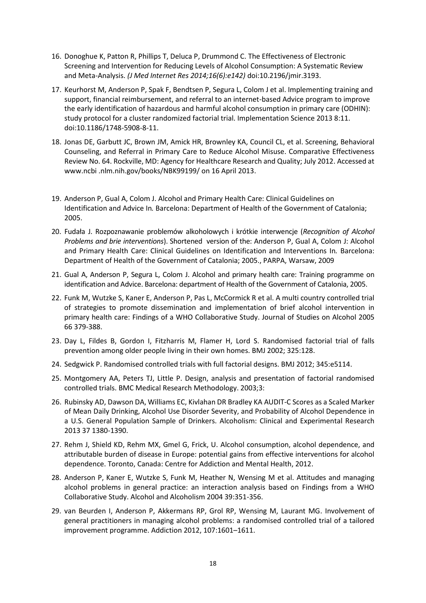- 16. Donoghue K, Patton R, Phillips T, Deluca P, Drummond C. The Effectiveness of Electronic Screening and Intervention for Reducing Levels of Alcohol Consumption: A Systematic Review and Meta-Analysis. *(J Med Internet Res 2014;16(6):e142)* doi:10.2196/jmir.3193.
- 17. Keurhorst M, Anderson P, Spak F, Bendtsen P, Segura L, Colom J et al. Implementing training and support, financial reimbursement, and referral to an internet-based Advice program to improve the early identification of hazardous and harmful alcohol consumption in primary care (ODHIN): study protocol for a cluster randomized factorial trial. Implementation Science 2013 8:11. doi:10.1186/1748-5908-8-11.
- 18. Jonas DE, Garbutt JC, Brown JM, Amick HR, Brownley KA, Council CL, et al. Screening, Behavioral Counseling, and Referral in Primary Care to Reduce Alcohol Misuse. Comparative Effectiveness Review No. 64. Rockville, MD: Agency for Healthcare Research and Quality; July 2012. Accessed at www.ncbi .nlm.nih.gov/books/NBK99199/ on 16 April 2013.
- 19. Anderson P, Gual A, Colom J. Alcohol and Primary Health Care: Clinical Guidelines on Identification and Advice In*.* Barcelona: Department of Health of the Government of Catalonia; 2005.
- 20. Fudała J. Rozpoznawanie problemów alkoholowych i krótkie interwencje (*Recognition of Alcohol Problems and brie interventions*). Shortened version of the: Anderson P, Gual A, Colom J: Alcohol and Primary Health Care: Clinical Guidelines on Identification and Interventions In*.* Barcelona: Department of Health of the Government of Catalonia; 2005., PARPA, Warsaw, 2009
- 21. Gual A, Anderson P, Segura L, Colom J. Alcohol and primary health care: Training programme on identification and Advice. Barcelona: department of Health of the Government of Catalonia, 2005.
- 22. Funk M, Wutzke S, Kaner E, Anderson P, Pas L, McCormick R et al. A multi country controlled trial of strategies to promote dissemination and implementation of brief alcohol intervention in primary health care: Findings of a WHO Collaborative Study. Journal of Studies on Alcohol 2005 66 379-388.
- 23. Day L, Fildes B, Gordon I, Fitzharris M, Flamer H, Lord S. Randomised factorial trial of falls prevention among older people living in their own homes. BMJ 2002; 325:128.
- 24. Sedgwick P. Randomised controlled trials with full factorial designs. BMJ 2012; 345:e5114.
- 25. Montgomery AA, Peters TJ, Little P. Design, analysis and presentation of factorial randomised controlled trials. BMC Medical Research Methodology. 2003;3:
- 26. Rubinsky AD, Dawson DA, Williams EC, Kivlahan DR Bradley KA AUDIT-C Scores as a Scaled Marker of Mean Daily Drinking, Alcohol Use Disorder Severity, and Probability of Alcohol Dependence in a U.S. General Population Sample of Drinkers. Alcoholism: Clinical and Experimental Research 2013 37 1380-1390.
- 27. Rehm J, Shield KD, Rehm MX, Gmel G, Frick, U. Alcohol consumption, alcohol dependence, and attributable burden of disease in Europe: potential gains from effective interventions for alcohol dependence. Toronto, Canada: Centre for Addiction and Mental Health, 2012.
- 28. Anderson P, Kaner E, Wutzke S, Funk M, Heather N, Wensing M et al. Attitudes and managing alcohol problems in general practice: an interaction analysis based on Findings from a WHO Collaborative Study. Alcohol and Alcoholism 2004 39:351-356.
- 29. van Beurden I, Anderson P, Akkermans RP, Grol RP, Wensing M, Laurant MG. Involvement of general practitioners in managing alcohol problems: a randomised controlled trial of a tailored improvement programme. Addiction 2012, 107:1601–1611.